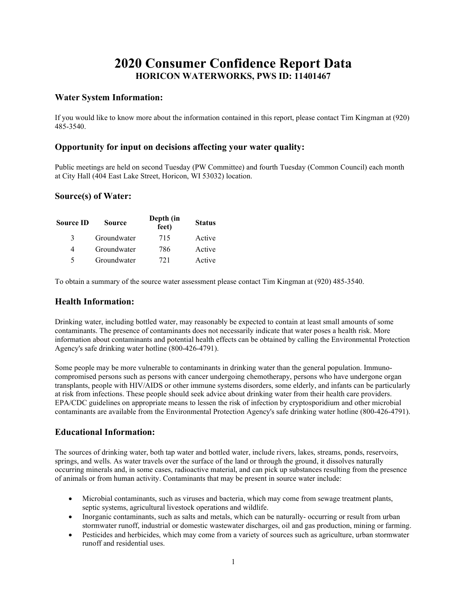# 2020 Consumer Confidence Report Data HORICON WATERWORKS, PWS ID: 11401467

#### Water System Information:

If you would like to know more about the information contained in this report, please contact Tim Kingman at (920) 485-3540.

#### Opportunity for input on decisions affecting your water quality:

Public meetings are held on second Tuesday (PW Committee) and fourth Tuesday (Common Council) each month at City Hall (404 East Lake Street, Horicon, WI 53032) location.

#### Source(s) of Water:

| Source ID     | <b>Source</b> | Depth (in<br>feet) | <b>Status</b> |
|---------------|---------------|--------------------|---------------|
| $\mathcal{R}$ | Groundwater   | 715                | Active        |
| 4             | Groundwater   | 786                | Active        |
| 5             | Groundwater   | 721                | Active        |

To obtain a summary of the source water assessment please contact Tim Kingman at (920) 485-3540.

#### Health Information:

Drinking water, including bottled water, may reasonably be expected to contain at least small amounts of some contaminants. The presence of contaminants does not necessarily indicate that water poses a health risk. More information about contaminants and potential health effects can be obtained by calling the Environmental Protection Agency's safe drinking water hotline (800-426-4791).

Some people may be more vulnerable to contaminants in drinking water than the general population. Immunocompromised persons such as persons with cancer undergoing chemotherapy, persons who have undergone organ transplants, people with HIV/AIDS or other immune systems disorders, some elderly, and infants can be particularly at risk from infections. These people should seek advice about drinking water from their health care providers. EPA/CDC guidelines on appropriate means to lessen the risk of infection by cryptosporidium and other microbial contaminants are available from the Environmental Protection Agency's safe drinking water hotline (800-426-4791).

## Educational Information:

The sources of drinking water, both tap water and bottled water, include rivers, lakes, streams, ponds, reservoirs, springs, and wells. As water travels over the surface of the land or through the ground, it dissolves naturally occurring minerals and, in some cases, radioactive material, and can pick up substances resulting from the presence of animals or from human activity. Contaminants that may be present in source water include:

- Microbial contaminants, such as viruses and bacteria, which may come from sewage treatment plants, septic systems, agricultural livestock operations and wildlife.
- Inorganic contaminants, such as salts and metals, which can be naturally- occurring or result from urban stormwater runoff, industrial or domestic wastewater discharges, oil and gas production, mining or farming.
- Pesticides and herbicides, which may come from a variety of sources such as agriculture, urban stormwater runoff and residential uses.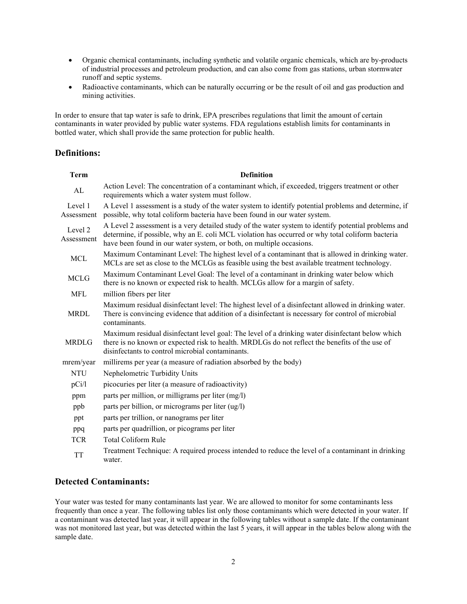- Organic chemical contaminants, including synthetic and volatile organic chemicals, which are by-products of industrial processes and petroleum production, and can also come from gas stations, urban stormwater runoff and septic systems.
- Radioactive contaminants, which can be naturally occurring or be the result of oil and gas production and mining activities.

In order to ensure that tap water is safe to drink, EPA prescribes regulations that limit the amount of certain contaminants in water provided by public water systems. FDA regulations establish limits for contaminants in bottled water, which shall provide the same protection for public health.

## Definitions:

| <b>Term</b>           | <b>Definition</b>                                                                                                                                                                                                                                                                |
|-----------------------|----------------------------------------------------------------------------------------------------------------------------------------------------------------------------------------------------------------------------------------------------------------------------------|
| AL                    | Action Level: The concentration of a contaminant which, if exceeded, triggers treatment or other<br>requirements which a water system must follow.                                                                                                                               |
| Level 1<br>Assessment | A Level 1 assessment is a study of the water system to identify potential problems and determine, if<br>possible, why total coliform bacteria have been found in our water system.                                                                                               |
| Level 2<br>Assessment | A Level 2 assessment is a very detailed study of the water system to identify potential problems and<br>determine, if possible, why an E. coli MCL violation has occurred or why total coliform bacteria<br>have been found in our water system, or both, on multiple occasions. |
| <b>MCL</b>            | Maximum Contaminant Level: The highest level of a contaminant that is allowed in drinking water.<br>MCLs are set as close to the MCLGs as feasible using the best available treatment technology.                                                                                |
| <b>MCLG</b>           | Maximum Contaminant Level Goal: The level of a contaminant in drinking water below which<br>there is no known or expected risk to health. MCLGs allow for a margin of safety.                                                                                                    |
| <b>MFL</b>            | million fibers per liter                                                                                                                                                                                                                                                         |
| <b>MRDL</b>           | Maximum residual disinfectant level: The highest level of a disinfectant allowed in drinking water.<br>There is convincing evidence that addition of a disinfectant is necessary for control of microbial<br>contaminants.                                                       |
| <b>MRDLG</b>          | Maximum residual disinfectant level goal: The level of a drinking water disinfectant below which<br>there is no known or expected risk to health. MRDLGs do not reflect the benefits of the use of<br>disinfectants to control microbial contaminants.                           |
| mrem/year             | millirems per year (a measure of radiation absorbed by the body)                                                                                                                                                                                                                 |
| <b>NTU</b>            | Nephelometric Turbidity Units                                                                                                                                                                                                                                                    |
| pCi/l                 | picocuries per liter (a measure of radioactivity)                                                                                                                                                                                                                                |
| ppm                   | parts per million, or milligrams per liter (mg/l)                                                                                                                                                                                                                                |
| ppb                   | parts per billion, or micrograms per liter (ug/l)                                                                                                                                                                                                                                |
| ppt                   | parts per trillion, or nanograms per liter                                                                                                                                                                                                                                       |
| ppq                   | parts per quadrillion, or picograms per liter                                                                                                                                                                                                                                    |
| <b>TCR</b>            | <b>Total Coliform Rule</b>                                                                                                                                                                                                                                                       |
| <b>TT</b>             | Treatment Technique: A required process intended to reduce the level of a contaminant in drinking<br>water.                                                                                                                                                                      |

#### Detected Contaminants:

Your water was tested for many contaminants last year. We are allowed to monitor for some contaminants less frequently than once a year. The following tables list only those contaminants which were detected in your water. If a contaminant was detected last year, it will appear in the following tables without a sample date. If the contaminant was not monitored last year, but was detected within the last 5 years, it will appear in the tables below along with the sample date.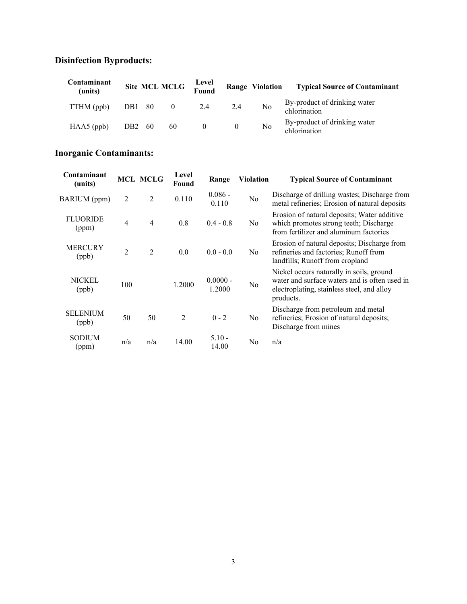# Disinfection Byproducts:

| Contaminant<br>(units) |                 |      | Site MCL MCLG Level<br>Found           |     |          |                | Range Violation Typical Source of Contaminant |
|------------------------|-----------------|------|----------------------------------------|-----|----------|----------------|-----------------------------------------------|
| TTHM (ppb)             | DB1 80          |      | $\begin{array}{ccc} & & 0 \end{array}$ | 2.4 | 2.4      | N <sub>o</sub> | By-product of drinking water<br>chlorination  |
| $HAAS$ (ppb)           | DB <sub>2</sub> | - 60 | 60                                     |     | $\theta$ | No             | By-product of drinking water<br>chlorination  |

# Inorganic Contaminants:

| Contaminant<br>(units)   |                | <b>MCL MCLG</b> | Level<br>Found | Range                | <b>Violation</b> | <b>Typical Source of Contaminant</b>                                                                                                                 |
|--------------------------|----------------|-----------------|----------------|----------------------|------------------|------------------------------------------------------------------------------------------------------------------------------------------------------|
| BARIUM (ppm)             | 2              | $\overline{2}$  | 0.110          | $0.086 -$<br>0.110   | No               | Discharge of drilling wastes; Discharge from<br>metal refineries; Erosion of natural deposits                                                        |
| <b>FLUORIDE</b><br>(ppm) | $\overline{4}$ | $\overline{4}$  | 0.8            | $0.4 - 0.8$          | No.              | Erosion of natural deposits; Water additive<br>which promotes strong teeth; Discharge<br>from fertilizer and aluminum factories                      |
| <b>MERCURY</b><br>(ppb)  | $\overline{2}$ | $\overline{2}$  | 0.0            | $0.0 - 0.0$          | No.              | Erosion of natural deposits; Discharge from<br>refineries and factories; Runoff from<br>landfills; Runoff from cropland                              |
| <b>NICKEL</b><br>(ppb)   | 100            |                 | 1.2000         | $0.0000 -$<br>1.2000 | No               | Nickel occurs naturally in soils, ground<br>water and surface waters and is often used in<br>electroplating, stainless steel, and alloy<br>products. |
| <b>SELENIUM</b><br>(ppb) | 50             | 50              | $\overline{2}$ | $0 - 2$              | N <sub>0</sub>   | Discharge from petroleum and metal<br>refineries; Erosion of natural deposits;<br>Discharge from mines                                               |
| <b>SODIUM</b><br>(ppm)   | n/a            | n/a             | 14.00          | $5.10 -$<br>14.00    | N <sub>0</sub>   | n/a                                                                                                                                                  |